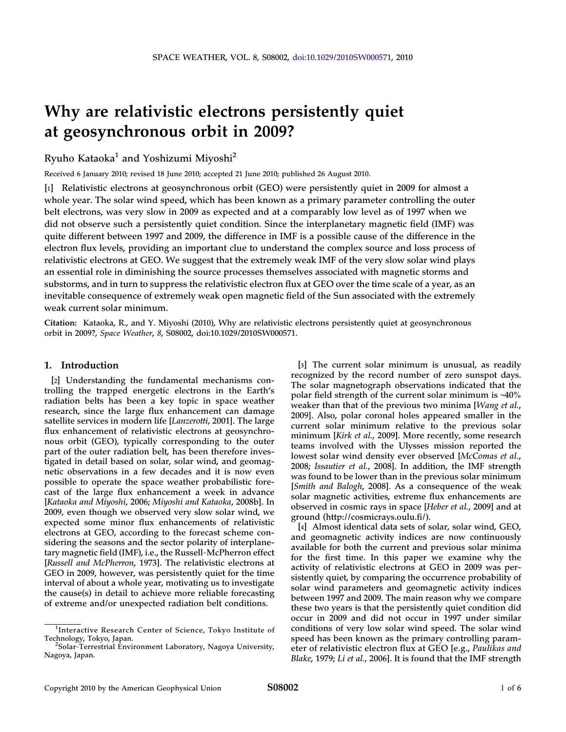# Why are relativistic electrons persistently quiet at geosynchronous orbit in 2009?

Ryuho Kataoka<sup>1</sup> and Yoshizumi Miyoshi<sup>2</sup>

Received 6 January 2010; revised 18 June 2010; accepted 21 June 2010; published 26 August 2010.

[1] Relativistic electrons at geosynchronous orbit (GEO) were persistently quiet in 2009 for almost a whole year. The solar wind speed, which has been known as a primary parameter controlling the outer belt electrons, was very slow in 2009 as expected and at a comparably low level as of 1997 when we did not observe such a persistently quiet condition. Since the interplanetary magnetic field (IMF) was quite different between 1997 and 2009, the difference in IMF is a possible cause of the difference in the electron flux levels, providing an important clue to understand the complex source and loss process of relativistic electrons at GEO. We suggest that the extremely weak IMF of the very slow solar wind plays an essential role in diminishing the source processes themselves associated with magnetic storms and substorms, and in turn to suppress the relativistic electron flux at GEO over the time scale of a year, as an inevitable consequence of extremely weak open magnetic field of the Sun associated with the extremely weak current solar minimum.

Citation: Kataoka, R., and Y. Miyoshi (2010), Why are relativistic electrons persistently quiet at geosynchronous orbit in 2009?, Space Weather, 8, S08002, doi:10.1029/2010SW000571.

## 1. Introduction

[2] Understanding the fundamental mechanisms controlling the trapped energetic electrons in the Earth's radiation belts has been a key topic in space weather research, since the large flux enhancement can damage satellite services in modern life [Lanzerotti, 2001]. The large flux enhancement of relativistic electrons at geosynchronous orbit (GEO), typically corresponding to the outer part of the outer radiation belt, has been therefore investigated in detail based on solar, solar wind, and geomagnetic observations in a few decades and it is now even possible to operate the space weather probabilistic forecast of the large flux enhancement a week in advance [Kataoka and Miyoshi, 2006; Miyoshi and Kataoka, 2008b]. In 2009, even though we observed very slow solar wind, we expected some minor flux enhancements of relativistic electrons at GEO, according to the forecast scheme considering the seasons and the sector polarity of interplanetary magnetic field (IMF), i.e., the Russell‐McPherron effect [Russell and McPherron, 1973]. The relativistic electrons at GEO in 2009, however, was persistently quiet for the time interval of about a whole year, motivating us to investigate the cause(s) in detail to achieve more reliable forecasting of extreme and/or unexpected radiation belt conditions.

[3] The current solar minimum is unusual, as readily recognized by the record number of zero sunspot days. The solar magnetograph observations indicated that the polar field strength of the current solar minimum is ∼40% weaker than that of the previous two minima [Wang et al., 2009]. Also, polar coronal holes appeared smaller in the current solar minimum relative to the previous solar minimum [Kirk et al., 2009]. More recently, some research teams involved with the Ulysses mission reported the lowest solar wind density ever observed [McComas et al., 2008; Issautier et al., 2008]. In addition, the IMF strength was found to be lower than in the previous solar minimum [Smith and Balogh, 2008]. As a consequence of the weak solar magnetic activities, extreme flux enhancements are observed in cosmic rays in space [Heber et al., 2009] and at ground (http://cosmicrays.oulu.fi/).

[4] Almost identical data sets of solar, solar wind, GEO, and geomagnetic activity indices are now continuously available for both the current and previous solar minima for the first time. In this paper we examine why the activity of relativistic electrons at GEO in 2009 was persistently quiet, by comparing the occurrence probability of solar wind parameters and geomagnetic activity indices between 1997 and 2009. The main reason why we compare these two years is that the persistently quiet condition did occur in 2009 and did not occur in 1997 under similar conditions of very low solar wind speed. The solar wind speed has been known as the primary controlling parameter of relativistic electron flux at GEO [e.g., Paulikas and Blake, 1979; Li et al., 2006]. It is found that the IMF strength

<sup>&</sup>lt;sup>1</sup>Interactive Research Center of Science, Tokyo Institute of Technology, Tokyo, Japan. <sup>2</sup>

<sup>&</sup>lt;sup>2</sup>Solar-Terrestrial Environment Laboratory, Nagoya University, Nagoya, Japan.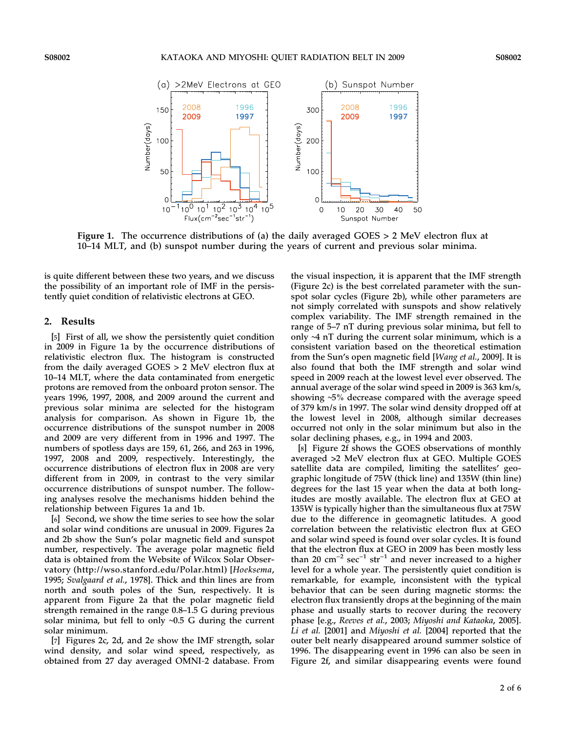

Figure 1. The occurrence distributions of (a) the daily averaged GOES > 2 MeV electron flux at 10–14 MLT, and (b) sunspot number during the years of current and previous solar minima.

is quite different between these two years, and we discuss the possibility of an important role of IMF in the persistently quiet condition of relativistic electrons at GEO.

#### 2. Results

[5] First of all, we show the persistently quiet condition in 2009 in Figure 1a by the occurrence distributions of relativistic electron flux. The histogram is constructed from the daily averaged GOES > 2 MeV electron flux at 10–14 MLT, where the data contaminated from energetic protons are removed from the onboard proton sensor. The years 1996, 1997, 2008, and 2009 around the current and previous solar minima are selected for the histogram analysis for comparison. As shown in Figure 1b, the occurrence distributions of the sunspot number in 2008 and 2009 are very different from in 1996 and 1997. The numbers of spotless days are 159, 61, 266, and 263 in 1996, 1997, 2008 and 2009, respectively. Interestingly, the occurrence distributions of electron flux in 2008 are very different from in 2009, in contrast to the very similar occurrence distributions of sunspot number. The following analyses resolve the mechanisms hidden behind the relationship between Figures 1a and 1b.

[6] Second, we show the time series to see how the solar and solar wind conditions are unusual in 2009. Figures 2a and 2b show the Sun's polar magnetic field and sunspot number, respectively. The average polar magnetic field data is obtained from the Website of Wilcox Solar Observatory (http://wso.stanford.edu/Polar.html) [Hoeksema, 1995; Svalgaard et al., 1978]. Thick and thin lines are from north and south poles of the Sun, respectively. It is apparent from Figure 2a that the polar magnetic field strength remained in the range 0.8–1.5 G during previous solar minima, but fell to only ∼0.5 G during the current solar minimum.

[7] Figures 2c, 2d, and 2e show the IMF strength, solar wind density, and solar wind speed, respectively, as obtained from 27 day averaged OMNI‐2 database. From the visual inspection, it is apparent that the IMF strength (Figure 2c) is the best correlated parameter with the sunspot solar cycles (Figure 2b), while other parameters are not simply correlated with sunspots and show relatively complex variability. The IMF strength remained in the range of 5–7 nT during previous solar minima, but fell to only ∼4 nT during the current solar minimum, which is a consistent variation based on the theoretical estimation from the Sun's open magnetic field [Wang et al., 2009]. It is also found that both the IMF strength and solar wind speed in 2009 reach at the lowest level ever observed. The annual average of the solar wind speed in 2009 is 363 km/s, showing ∼5% decrease compared with the average speed of 379 km/s in 1997. The solar wind density dropped off at the lowest level in 2008, although similar decreases occurred not only in the solar minimum but also in the solar declining phases, e.g., in 1994 and 2003.

[8] Figure 2f shows the GOES observations of monthly averaged >2 MeV electron flux at GEO. Multiple GOES satellite data are compiled, limiting the satellites' geographic longitude of 75W (thick line) and 135W (thin line) degrees for the last 15 year when the data at both longitudes are mostly available. The electron flux at GEO at 135W is typically higher than the simultaneous flux at 75W due to the difference in geomagnetic latitudes. A good correlation between the relativistic electron flux at GEO and solar wind speed is found over solar cycles. It is found that the electron flux at GEO in 2009 has been mostly less than 20 cm<sup>-2</sup> sec<sup>-1</sup> str<sup>-1</sup> and never increased to a higher level for a whole year. The persistently quiet condition is remarkable, for example, inconsistent with the typical behavior that can be seen during magnetic storms: the electron flux transiently drops at the beginning of the main phase and usually starts to recover during the recovery phase [e.g., Reeves et al., 2003; Miyoshi and Kataoka, 2005]. Li et al. [2001] and Miyoshi et al. [2004] reported that the outer belt nearly disappeared around summer solstice of 1996. The disappearing event in 1996 can also be seen in Figure 2f, and similar disappearing events were found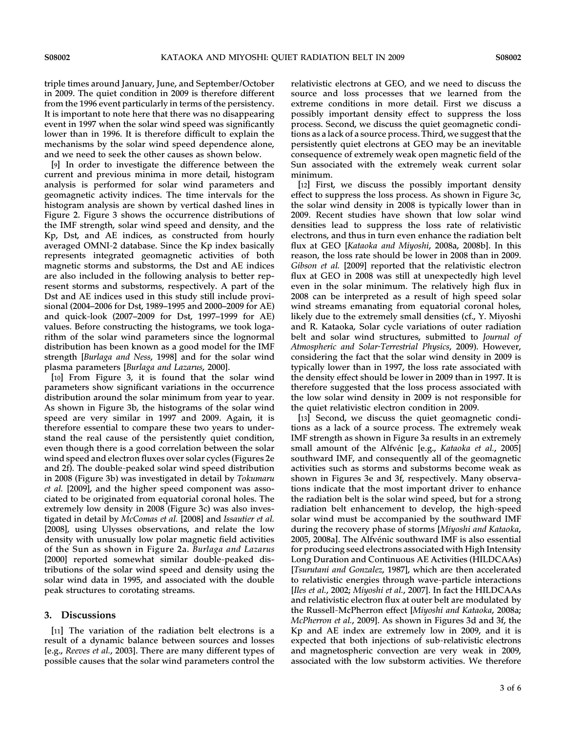triple times around January, June, and September/October in 2009. The quiet condition in 2009 is therefore different from the 1996 event particularly in terms of the persistency. It is important to note here that there was no disappearing event in 1997 when the solar wind speed was significantly lower than in 1996. It is therefore difficult to explain the mechanisms by the solar wind speed dependence alone, and we need to seek the other causes as shown below.

[9] In order to investigate the difference between the current and previous minima in more detail, histogram analysis is performed for solar wind parameters and geomagnetic activity indices. The time intervals for the histogram analysis are shown by vertical dashed lines in Figure 2. Figure 3 shows the occurrence distributions of the IMF strength, solar wind speed and density, and the Kp, Dst, and AE indices, as constructed from hourly averaged OMNI‐2 database. Since the Kp index basically represents integrated geomagnetic activities of both magnetic storms and substorms, the Dst and AE indices are also included in the following analysis to better represent storms and substorms, respectively. A part of the Dst and AE indices used in this study still include provisional (2004–2006 for Dst, 1989–1995 and 2000–2009 for AE) and quick‐look (2007–2009 for Dst, 1997–1999 for AE) values. Before constructing the histograms, we took logarithm of the solar wind parameters since the lognormal distribution has been known as a good model for the IMF strength [Burlaga and Ness, 1998] and for the solar wind plasma parameters [Burlaga and Lazarus, 2000].

[10] From Figure 3, it is found that the solar wind parameters show significant variations in the occurrence distribution around the solar minimum from year to year. As shown in Figure 3b, the histograms of the solar wind speed are very similar in 1997 and 2009. Again, it is therefore essential to compare these two years to understand the real cause of the persistently quiet condition, even though there is a good correlation between the solar wind speed and electron fluxes over solar cycles (Figures 2e and 2f). The double‐peaked solar wind speed distribution in 2008 (Figure 3b) was investigated in detail by Tokumaru et al. [2009], and the higher speed component was associated to be originated from equatorial coronal holes. The extremely low density in 2008 (Figure 3c) was also investigated in detail by McComas et al. [2008] and Issautier et al. [2008], using Ulysses observations, and relate the low density with unusually low polar magnetic field activities of the Sun as shown in Figure 2a. Burlaga and Lazarus [2000] reported somewhat similar double-peaked distributions of the solar wind speed and density using the solar wind data in 1995, and associated with the double peak structures to corotating streams.

### 3. Discussions

[11] The variation of the radiation belt electrons is a result of a dynamic balance between sources and losses [e.g., Reeves et al., 2003]. There are many different types of possible causes that the solar wind parameters control the

relativistic electrons at GEO, and we need to discuss the source and loss processes that we learned from the extreme conditions in more detail. First we discuss a possibly important density effect to suppress the loss process. Second, we discuss the quiet geomagnetic conditions as a lack of a source process. Third, we suggest that the persistently quiet electrons at GEO may be an inevitable consequence of extremely weak open magnetic field of the Sun associated with the extremely weak current solar minimum.

[12] First, we discuss the possibly important density effect to suppress the loss process. As shown in Figure 3c, the solar wind density in 2008 is typically lower than in 2009. Recent studies have shown that low solar wind densities lead to suppress the loss rate of relativistic electrons, and thus in turn even enhance the radiation belt flux at GEO [Kataoka and Miyoshi, 2008a, 2008b]. In this reason, the loss rate should be lower in 2008 than in 2009. Gibson et al. [2009] reported that the relativistic electron flux at GEO in 2008 was still at unexpectedly high level even in the solar minimum. The relatively high flux in 2008 can be interpreted as a result of high speed solar wind streams emanating from equatorial coronal holes, likely due to the extremely small densities (cf., Y. Miyoshi and R. Kataoka, Solar cycle variations of outer radiation belt and solar wind structures, submitted to Journal of Atmospheric and Solar-Terrestrial Physics, 2009). However, considering the fact that the solar wind density in 2009 is typically lower than in 1997, the loss rate associated with the density effect should be lower in 2009 than in 1997. It is therefore suggested that the loss process associated with the low solar wind density in 2009 is not responsible for the quiet relativistic electron condition in 2009.

[13] Second, we discuss the quiet geomagnetic conditions as a lack of a source process. The extremely weak IMF strength as shown in Figure 3a results in an extremely small amount of the Alfvénic [e.g., Kataoka et al., 2005] southward IMF, and consequently all of the geomagnetic activities such as storms and substorms become weak as shown in Figures 3e and 3f, respectively. Many observations indicate that the most important driver to enhance the radiation belt is the solar wind speed, but for a strong radiation belt enhancement to develop, the high‐speed solar wind must be accompanied by the southward IMF during the recovery phase of storms [Miyoshi and Kataoka, 2005, 2008a]. The Alfvénic southward IMF is also essential for producing seed electrons associated with High Intensity Long Duration and Continuous AE Activities (HILDCAAs) [Tsurutani and Gonzalez, 1987], which are then accelerated to relativistic energies through wave‐particle interactions [Iles et al., 2002; Miyoshi et al., 2007]. In fact the HILDCAAs and relativistic electron flux at outer belt are modulated by the Russell‐McPherron effect [Miyoshi and Kataoka, 2008a; McPherron et al., 2009]. As shown in Figures 3d and 3f, the Kp and AE index are extremely low in 2009, and it is expected that both injections of sub‐relativistic electrons and magnetospheric convection are very weak in 2009, associated with the low substorm activities. We therefore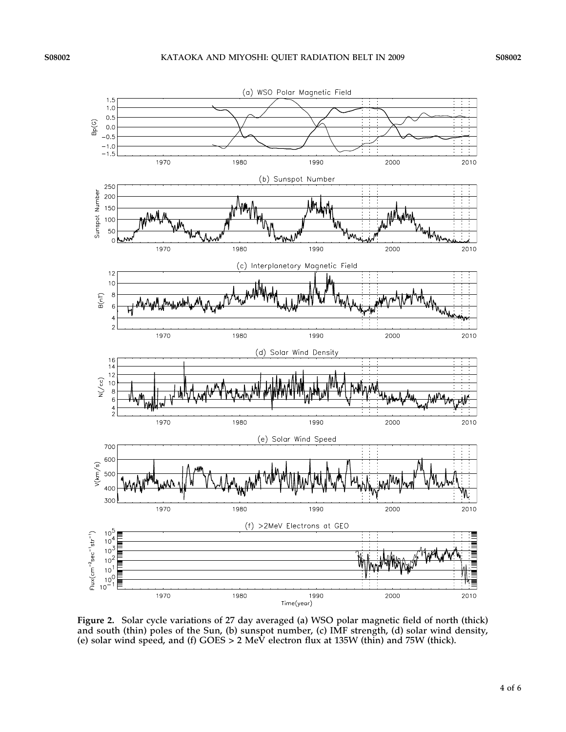

Figure 2. Solar cycle variations of 27 day averaged (a) WSO polar magnetic field of north (thick) and south (thin) poles of the Sun, (b) sunspot number, (c) IMF strength, (d) solar wind density, (e) solar wind speed, and (f) GOES > 2 MeV electron flux at 135W (thin) and 75W (thick).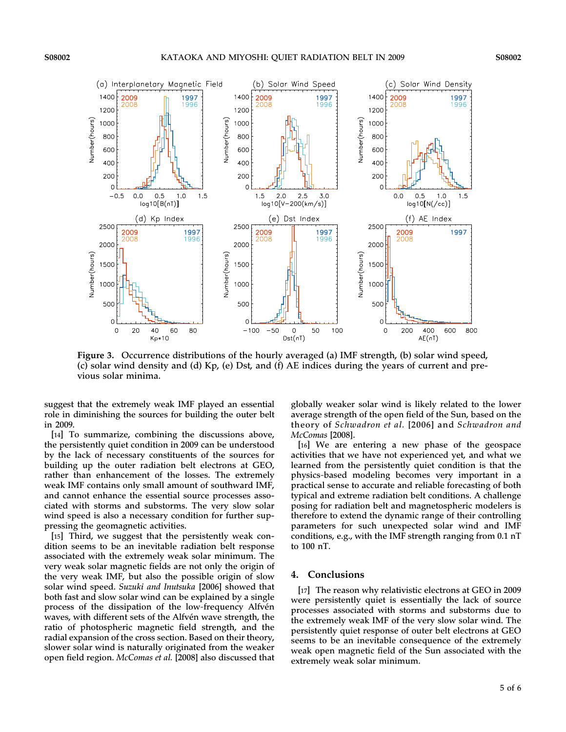

Figure 3. Occurrence distributions of the hourly averaged (a) IMF strength, (b) solar wind speed, (c) solar wind density and (d) Kp, (e) Dst, and (f) AE indices during the years of current and previous solar minima.

suggest that the extremely weak IMF played an essential role in diminishing the sources for building the outer belt in 2009.

[14] To summarize, combining the discussions above, the persistently quiet condition in 2009 can be understood by the lack of necessary constituents of the sources for building up the outer radiation belt electrons at GEO, rather than enhancement of the losses. The extremely weak IMF contains only small amount of southward IMF, and cannot enhance the essential source processes associated with storms and substorms. The very slow solar wind speed is also a necessary condition for further suppressing the geomagnetic activities.

[15] Third, we suggest that the persistently weak condition seems to be an inevitable radiation belt response associated with the extremely weak solar minimum. The very weak solar magnetic fields are not only the origin of the very weak IMF, but also the possible origin of slow solar wind speed. Suzuki and Inutsuka [2006] showed that both fast and slow solar wind can be explained by a single process of the dissipation of the low‐frequency Alfvén waves, with different sets of the Alfvén wave strength, the ratio of photospheric magnetic field strength, and the radial expansion of the cross section. Based on their theory, slower solar wind is naturally originated from the weaker open field region. McComas et al. [2008] also discussed that globally weaker solar wind is likely related to the lower average strength of the open field of the Sun, based on the theory of Schwadron et al. [2006] and Schwadron and McComas [2008].

[16] We are entering a new phase of the geospace activities that we have not experienced yet, and what we learned from the persistently quiet condition is that the physics‐based modeling becomes very important in a practical sense to accurate and reliable forecasting of both typical and extreme radiation belt conditions. A challenge posing for radiation belt and magnetospheric modelers is therefore to extend the dynamic range of their controlling parameters for such unexpected solar wind and IMF conditions, e.g., with the IMF strength ranging from 0.1 nT to 100 nT.

#### 4. Conclusions

[17] The reason why relativistic electrons at GEO in 2009 were persistently quiet is essentially the lack of source processes associated with storms and substorms due to the extremely weak IMF of the very slow solar wind. The persistently quiet response of outer belt electrons at GEO seems to be an inevitable consequence of the extremely weak open magnetic field of the Sun associated with the extremely weak solar minimum.